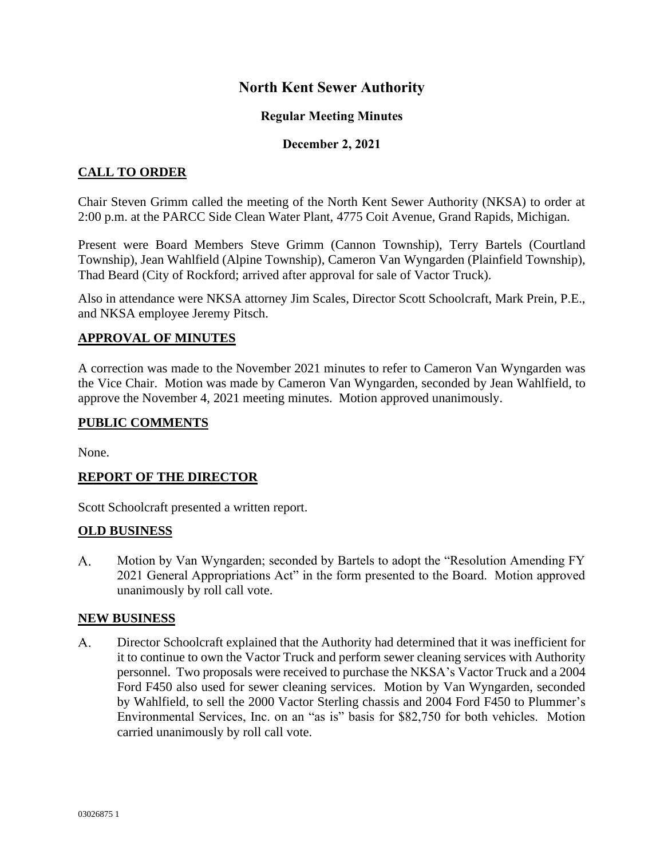# **North Kent Sewer Authority**

### **Regular Meeting Minutes**

### **December 2, 2021**

## **CALL TO ORDER**

Chair Steven Grimm called the meeting of the North Kent Sewer Authority (NKSA) to order at 2:00 p.m. at the PARCC Side Clean Water Plant, 4775 Coit Avenue, Grand Rapids, Michigan.

Present were Board Members Steve Grimm (Cannon Township), Terry Bartels (Courtland Township), Jean Wahlfield (Alpine Township), Cameron Van Wyngarden (Plainfield Township), Thad Beard (City of Rockford; arrived after approval for sale of Vactor Truck).

Also in attendance were NKSA attorney Jim Scales, Director Scott Schoolcraft, Mark Prein, P.E., and NKSA employee Jeremy Pitsch.

### **APPROVAL OF MINUTES**

A correction was made to the November 2021 minutes to refer to Cameron Van Wyngarden was the Vice Chair. Motion was made by Cameron Van Wyngarden, seconded by Jean Wahlfield, to approve the November 4, 2021 meeting minutes. Motion approved unanimously.

### **PUBLIC COMMENTS**

None.

### **REPORT OF THE DIRECTOR**

Scott Schoolcraft presented a written report.

### **OLD BUSINESS**

 $A_{1}$ Motion by Van Wyngarden; seconded by Bartels to adopt the "Resolution Amending FY 2021 General Appropriations Act" in the form presented to the Board. Motion approved unanimously by roll call vote.

### **NEW BUSINESS**

 $A_{\cdot}$ Director Schoolcraft explained that the Authority had determined that it was inefficient for it to continue to own the Vactor Truck and perform sewer cleaning services with Authority personnel. Two proposals were received to purchase the NKSA's Vactor Truck and a 2004 Ford F450 also used for sewer cleaning services. Motion by Van Wyngarden, seconded by Wahlfield, to sell the 2000 Vactor Sterling chassis and 2004 Ford F450 to Plummer's Environmental Services, Inc. on an "as is" basis for \$82,750 for both vehicles. Motion carried unanimously by roll call vote.